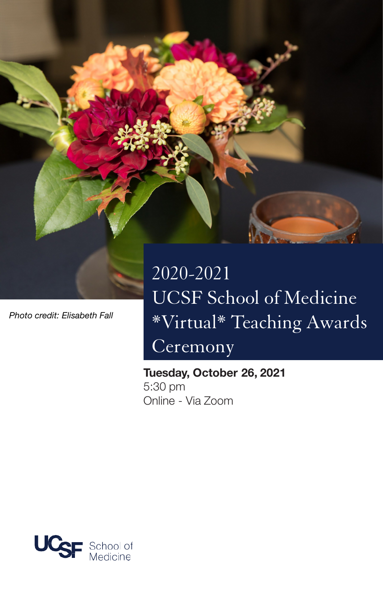

*Photo credit: Elisabeth Fall*

# 2020-2021 UCSF School of Medicine \*Virtual\* Teaching Awards Ceremony

Tuesday, October 26, 2021 5:30 pm Online - Via Zoom

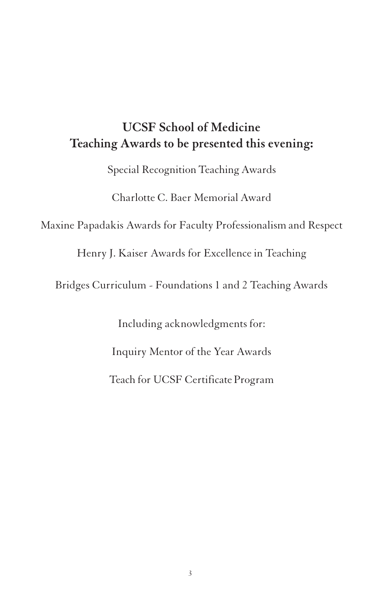### **UCSF School of Medicine Teaching Awards to be presented this evening:**

Special Recognition Teaching Awards

Charlotte C. Baer Memorial Award

Maxine Papadakis Awards for Faculty Professionalism and Respect

Henry J. Kaiser Awards for Excellence in Teaching

Bridges Curriculum - Foundations 1 and 2 Teaching Awards

Including acknowledgments for: Inquiry Mentor of the Year Awards Teach for UCSF Certificate Program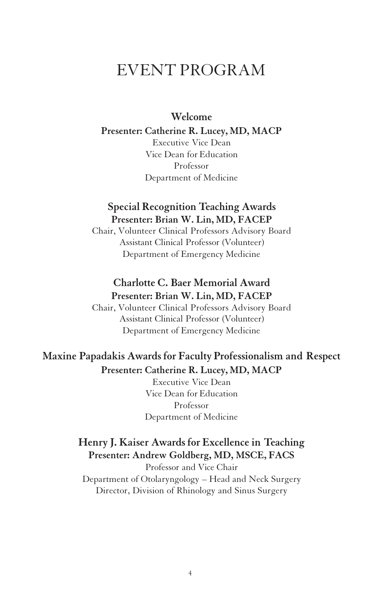## EVENT PROGRAM

#### **Welcome**

#### **Presenter: Catherine R. Lucey, MD, MACP**

Executive Vice Dean Vice Dean forEducation Professor Department of Medicine

#### **Special Recognition Teaching Awards Presenter: Brian W. Lin, MD, FACEP**

Chair, Volunteer Clinical Professors Advisory Board Assistant Clinical Professor (Volunteer) Department of Emergency Medicine

#### **Charlotte C. Baer Memorial Award Presenter: Brian W. Lin, MD, FACEP**

Chair, Volunteer Clinical Professors Advisory Board Assistant Clinical Professor (Volunteer) Department of Emergency Medicine

### **Maxine Papadakis Awards for Faculty Professionalism and Respect Presenter: Catherine R. Lucey, MD, MACP**

Executive Vice Dean Vice Dean for Education Professor Department of Medicine

### **Henry J. Kaiser Awards for Excellence in Teaching Presenter: Andrew Goldberg, MD, MSCE, FACS**

Professor and Vice Chair Department of Otolaryngology – Head and Neck Surgery Director, Division of Rhinology and Sinus Surgery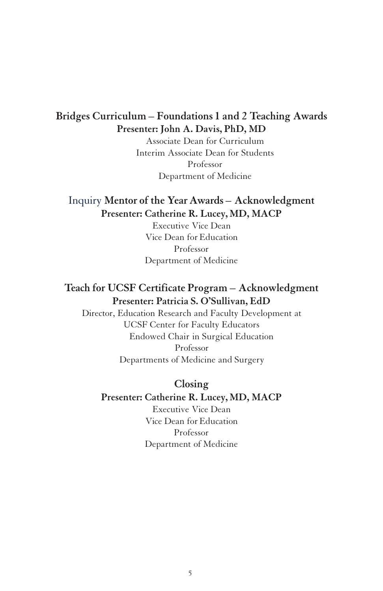#### **Bridges Curriculum – Foundations 1 and 2 Teaching Awards Presenter: John A. Davis, PhD, MD**

Associate Dean for Curriculum Interim Associate Dean for Students Professor Department of Medicine

#### Inquiry **Mentor of the Year Awards – Acknowledgment Presenter: Catherine R. Lucey, MD, MACP**

Executive Vice Dean Vice Dean for Education Professor Department of Medicine

### **Teach for UCSF Certificate Program – Acknowledgment Presenter: Patricia S. O'Sullivan, EdD**

Director, Education Research and Faculty Development at UCSF Center for Faculty Educators Endowed Chair in Surgical Education Professor Departments of Medicine and Surgery

#### **Closing**

#### **Presenter: Catherine R. Lucey, MD, MACP**

Executive Vice Dean Vice Dean for Education Professor Department of Medicine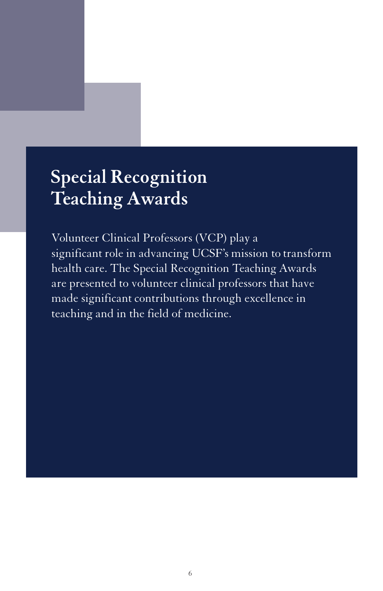# **Special Recognition Teaching Awards**

Volunteer Clinical Professors (VCP) play a significant role in advancing UCSF's mission to transform health care. The Special Recognition Teaching Awards are presented to volunteer clinical professors that have made significant contributions through excellence in teaching and in the field of medicine.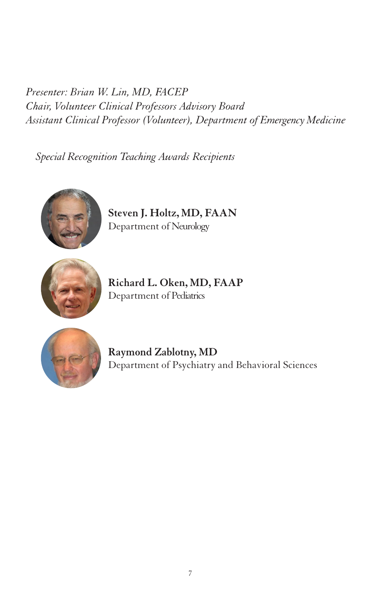*Presenter: Brian W. Lin, MD, FACEP Chair, Volunteer Clinical Professors Advisory Board Assistant Clinical Professor (Volunteer), Department of Emergency Medicine*

*Special Recognition Teaching Awards Recipients*



**Steven J. Holtz, MD, FAAN** Department of Neurology



**Richard L. Oken, MD, FAAP** Department of Pediatrics



**Raymond Zablotny, MD** Department of Psychiatry and Behavioral Sciences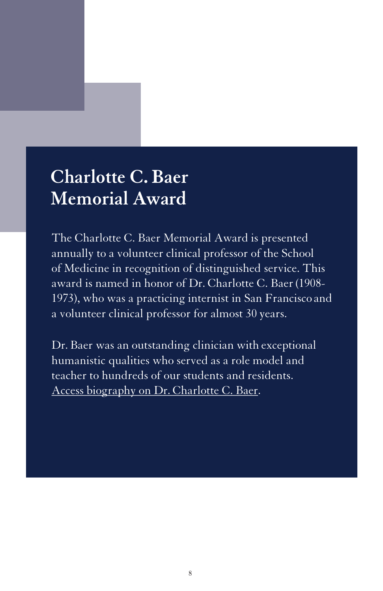## **Charlotte C. Baer Memorial Award**

The Charlotte C. Baer Memorial Award is presented annually to a volunteer clinical professor of the School of Medicine in recognition of distinguished service. This award is named in honor of Dr. Charlotte C. Baer(1908- 1973), who was a practicing internist in San Francisco and a volunteer clinical professor for almost 30 years.

Dr. Baer was an outstanding clinician with exceptional humanistic qualities who served as a role model and teacher to hundreds of our students and residents. Access [biography on Dr. Charlotte C.](https://meded.ucsf.edu/faculty-educators/recognition-and-awards/distinguished-teaching-awards/recognition-awards-volunteer-clinical-professors#Biography-of-Charlotte-C-Baer-MD-October-11-1908--August-15-1973) Baer.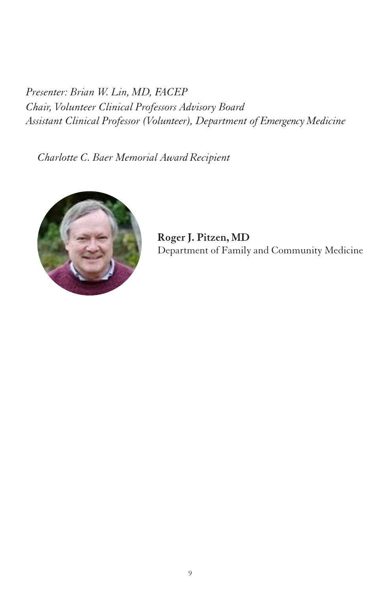*Presenter: Brian W. Lin, MD, FACEP Chair, Volunteer Clinical Professors Advisory Board Assistant Clinical Professor (Volunteer), Department of Emergency Medicine*

*Charlotte C. Baer Memorial AwardRecipient*



**Roger J. Pitzen, MD** Department of Family and Community Medicine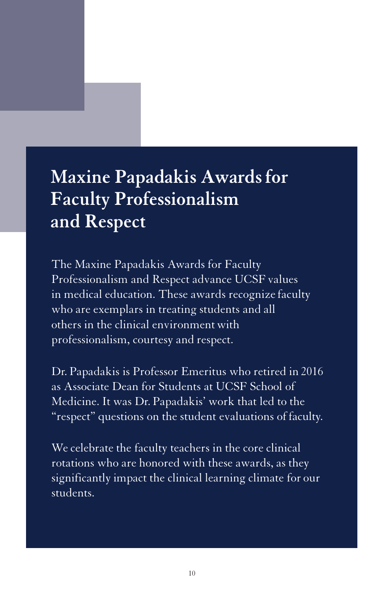# **Maxine Papadakis Awardsfor Faculty Professionalism and Respect**

The Maxine Papadakis Awards for Faculty Professionalism and Respect advance UCSF values in medical education. These awards recognize faculty who are exemplars in treating students and all others in the clinical environment with professionalism, courtesy and respect.

Dr. Papadakis is Professor Emeritus who retired in 2016 as Associate Dean for Students at UCSF School of Medicine. It was Dr. Papadakis' work that led to the "respect" questions on the student evaluations of faculty.

We celebrate the faculty teachers in the core clinical rotations who are honored with these awards, as they significantly impact the clinical learning climate for our students.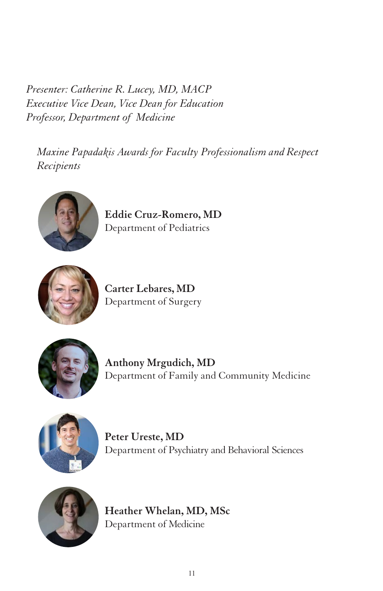*Presenter: Catherine R. Lucey, MD, MACP Executive Vice Dean, Vice Dean for Education Professor, Department of Medicine*

*Maxine Papadakis Awards for Faculty Professionalism and Respect Recipients*



**Eddie Cruz-Romero, MD** Department of Pediatrics



**Carter Lebares, MD** Department of Surgery



**Anthony Mrgudich, MD** Department of Family and Community Medicine



**Peter Ureste, MD** Department of Psychiatry and Behavioral Sciences



**Heather Whelan, MD, MSc** Department of Medicine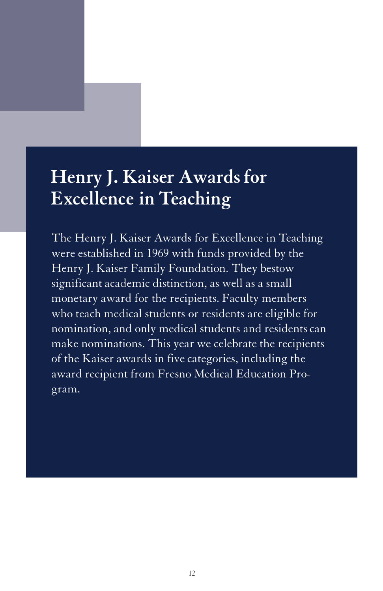# **Henry J. Kaiser Awardsfor Excellence in Teaching**

The Henry J. Kaiser Awards for Excellence in Teaching were established in 1969 with funds provided by the Henry J. Kaiser Family Foundation. They bestow significant academic distinction, as well as a small monetary award for the recipients. Faculty members who teach medical students or residents are eligible for nomination, and only medical students and residents can make nominations. This year we celebrate the recipients of the Kaiser awards in five categories, including the award recipient from Fresno Medical Education Program.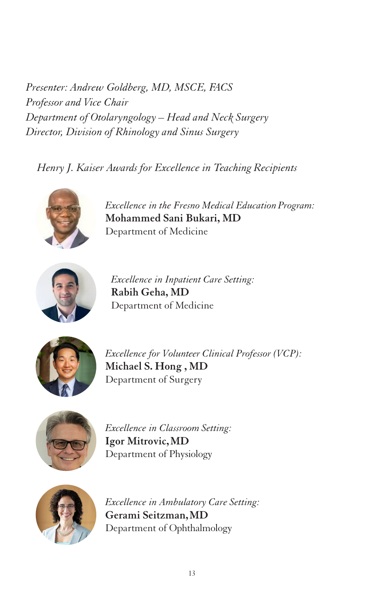*Presenter: Andrew Goldberg, MD, MSCE, FACS Professor and Vice Chair Department of Otolaryngology – Head and Neck Surgery Director, Division of Rhinology and Sinus Surgery*

*Henry J. Kaiser Awards for Excellence in Teaching Recipients*



*Excellence in the Fresno Medical EducationProgram:* **Mohammed Sani Bukari, MD** Department of Medicine



*Excellence in Inpatient Care Setting:* **Rabih Geha, MD** Department of Medicine



*Excellence for Volunteer Clinical Professor (VCP):* **Michael S. Hong , MD** Department of Surgery



*Excellence in Classroom Setting:* **Igor Mitrovic,MD** Department of Physiology



*Excellence in Ambulatory Care Setting:* **Gerami Seitzman,MD** Department of Ophthalmology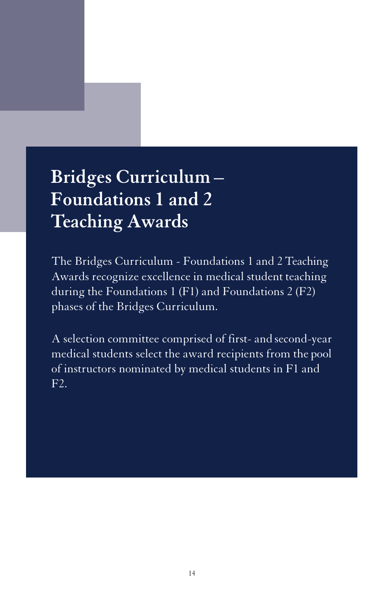# **Bridges Curriculum – Foundations 1 and 2 Teaching Awards**

The Bridges Curriculum - Foundations 1 and 2 Teaching Awards recognize excellence in medical student teaching during the Foundations 1 (F1) and Foundations 2 (F2) phases of the Bridges Curriculum.

A selection committee comprised of first- and second-year medical students select the award recipients from the pool of instructors nominated by medical students in F1 and F2.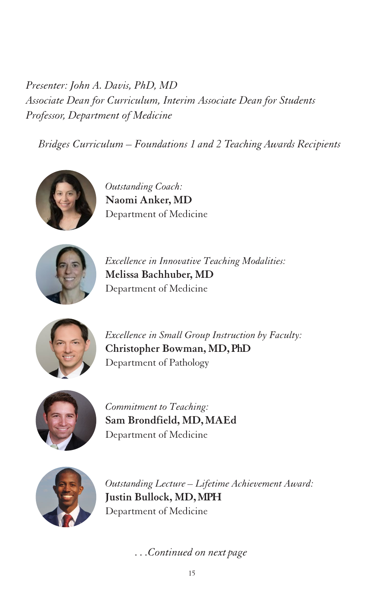*Presenter: John A. Davis, PhD, MD Associate Dean for Curriculum, Interim Associate Dean for Students Professor, Department of Medicine*

*Bridges Curriculum – Foundations 1 and 2 Teaching Awards Recipients*



*Outstanding Coach:* **Naomi Anker, MD** Department of Medicine



*Excellence in Innovative Teaching Modalities:* **Melissa Bachhuber, MD** Department of Medicine



*Excellence in Small Group Instruction by Faculty:* **Christopher Bowman, MD, PhD** Department of Pathology



*Commitment to Teaching:* **Sam Brondfield, MD, MAEd** Department of Medicine



*Outstanding Lecture – Lifetime Achievement Award:* **Justin Bullock, MD,MPH** Department of Medicine

*. . .Continued on next page*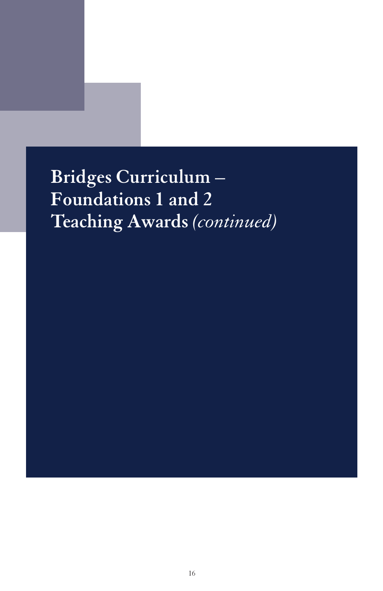**Bridges Curriculum – Foundations 1 and 2 Teaching Awards** *(continued)*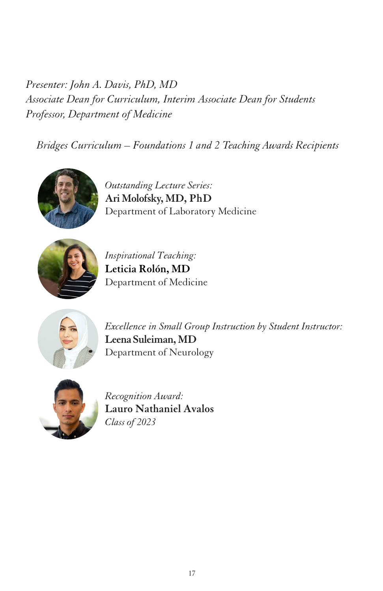*Presenter: John A. Davis, PhD, MD Associate Dean for Curriculum, Interim Associate Dean for Students Professor, Department of Medicine*

*Bridges Curriculum – Foundations 1 and 2 Teaching Awards Recipients*



*Outstanding Lecture Series:* **Ari Molofsky, MD, PhD** Department of Laboratory Medicine



*Inspirational Teaching:* **Leticia Rolón, MD** Department of Medicine



*Excellence in Small Group Instruction by Student Instructor:* **Leena Suleiman, MD** Department of Neurology



*Recognition Award:* **Lauro Nathaniel Avalos** *Class of 2023*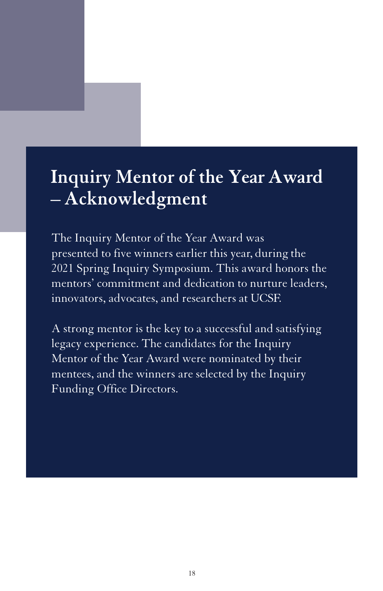# **Inquiry Mentor of the Year Award – Acknowledgment**

The Inquiry Mentor of the Year Award was presented to five winners earlier this year, during the 2021 Spring Inquiry Symposium. This award honors the mentors' commitment and dedication to nurture leaders, innovators, advocates, and researchers at UCSF.

A strong mentor is the key to a successful and satisfying legacy experience. The candidates for the Inquiry Mentor of the Year Award were nominated by their mentees, and the winners are selected by the Inquiry Funding Office Directors.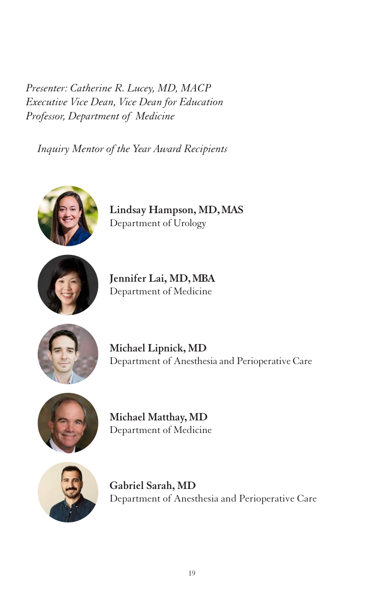*Presenter: Catherine R. Lucey, MD, MACP Executive Vice Dean, Vice Dean for Education Professor, Department of Medicine*

*Inquiry Mentor of the Year Award Recipients*



**Lindsay Hampson, MD,MAS** Department of Urology



**Jennifer Lai, MD,MBA** Department of Medicine



**Michael Lipnick, MD** Department of Anesthesia and Perioperative Care



**Michael Matthay, MD** Department of Medicine



**Gabriel Sarah, MD** Department of Anesthesia and Perioperative Care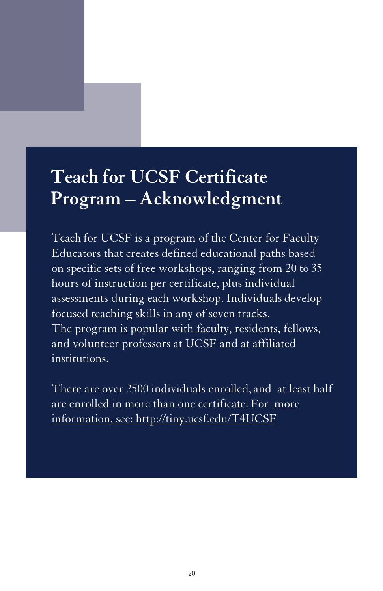# **Teach for UCSF Certificate Program – Acknowledgment**

Teach for UCSF is a program of the Center for Faculty Educators that creates defined educational paths based on specific sets of free workshops, ranging from 20 to 35 hours of instruction per certificate, plus individual assessments during each workshop. Individuals develop focused teaching skills in any of seven tracks. The program is popular with faculty, residents, fellows, and volunteer professors at UCSF and at affiliated institutions.

There are over 2500 individuals enrolled, and at least half [are enrolled in more than one certificate. For more](http://tiny.ucsf.edu/T4UCSF) information, see: http://tiny.ucsf.edu/T4UCSF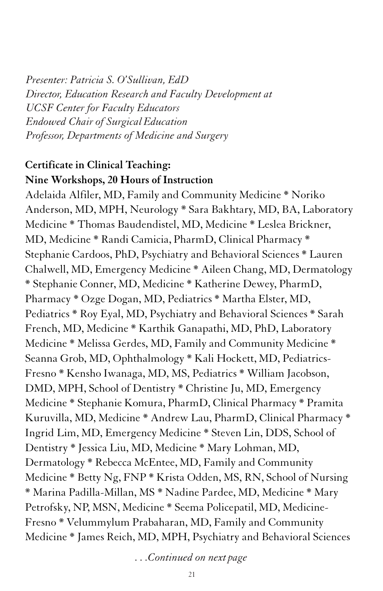*Presenter: Patricia S. O'Sullivan, EdD Director, Education Research and Faculty Development at UCSF Center for Faculty Educators Endowed Chair of SurgicalEducation Professor, Departments of Medicine and Surgery*

### **Certificate in Clinical Teaching: Nine Workshops, 20 Hours of Instruction**

Adelaida Alfiler, MD, Family and Community Medicine \* Noriko Anderson, MD, MPH, Neurology \* Sara Bakhtary, MD, BA, Laboratory Medicine \* Thomas Baudendistel, MD, Medicine \* Leslea Brickner, MD, Medicine \* Randi Camicia, PharmD, Clinical Pharmacy \* Stephanie Cardoos, PhD, Psychiatry and Behavioral Sciences \* Lauren Chalwell, MD, Emergency Medicine \* Aileen Chang, MD, Dermatology \* Stephanie Conner, MD, Medicine \* Katherine Dewey, PharmD, Pharmacy \* Ozge Dogan, MD, Pediatrics \* Martha Elster, MD, Pediatrics \* Roy Eyal, MD, Psychiatry and Behavioral Sciences \* Sarah French, MD, Medicine \* Karthik Ganapathi, MD, PhD, Laboratory Medicine \* Melissa Gerdes, MD, Family and Community Medicine \* Seanna Grob, MD, Ophthalmology \* Kali Hockett, MD, Pediatrics-Fresno \* Kensho Iwanaga, MD, MS, Pediatrics \* William Jacobson, DMD, MPH, School of Dentistry \* Christine Ju, MD, Emergency Medicine \* Stephanie Komura, PharmD, Clinical Pharmacy \* Pramita Kuruvilla, MD, Medicine \* Andrew Lau, PharmD, Clinical Pharmacy \* Ingrid Lim, MD, Emergency Medicine \* Steven Lin, DDS, School of Dentistry \* Jessica Liu, MD, Medicine \* Mary Lohman, MD, Dermatology \* Rebecca McEntee, MD, Family and Community Medicine \* Betty Ng, FNP \* Krista Odden, MS, RN, School of Nursing \* Marina Padilla-Millan, MS \* Nadine Pardee, MD, Medicine \* Mary Petrofsky, NP, MSN, Medicine \* Seema Policepatil, MD, Medicine-Fresno \* Velummylum Prabaharan, MD, Family and Community Medicine \* James Reich, MD, MPH, Psychiatry and Behavioral Sciences

*. . .Continued on next page*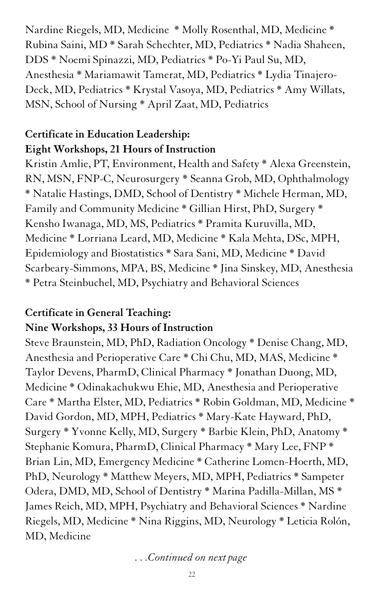Nardine Riegels, MD, Medicine \* Molly Rosenthal, MD, Medicine \* Rubina Saini, MD \* Sarah Schechter, MD, Pediatrics \* Nadia Shaheen, DDS \* Noemi Spinazzi, MD, Pediatrics \* Po-Yi Paul Su, MD, Anesthesia \* Mariamawit Tamerat, MD, Pediatrics \* Lydia Tinajero-Deck, MD, Pediatrics \* Krystal Vasoya, MD, Pediatrics \* Amy Willats, MSN, School of Nursing \* April Zaat, MD, Pediatrics

### **Certificate in Education Leadership: Eight Workshops, 21 Hours of Instruction**

Kristin Amlie, PT, Environment, Health and Safety \* Alexa Greenstein, RN, MSN, FNP-C, Neurosurgery \* Seanna Grob, MD, Ophthalmology \* Natalie Hastings, DMD, School of Dentistry \* Michele Herman, MD, Family and Community Medicine \* Gillian Hirst, PhD, Surgery \* Kensho Iwanaga, MD, MS, Pediatrics \* Pramita Kuruvilla, MD, Medicine \* Lorriana Leard, MD, Medicine \* Kala Mehta, DSc, MPH, Epidemiology and Biostatistics \* Sara Sani, MD, Medicine \* David Scarbeary-Simmons, MPA, BS, Medicine \* Jina Sinskey, MD, Anesthesia \* Petra Steinbuchel, MD, Psychiatry and Behavioral Sciences

### **Certificate in General Teaching: Nine Workshops, 33 Hours of Instruction**

Steve Braunstein, MD, PhD, Radiation Oncology \* Denise Chang, MD, Anesthesia and Perioperative Care \* Chi Chu, MD, MAS, Medicine \* Taylor Devens, PharmD, Clinical Pharmacy \* Jonathan Duong, MD, Medicine \* Odinakachukwu Ehie, MD, Anesthesia and Perioperative Care \* Martha Elster, MD, Pediatrics \* Robin Goldman, MD, Medicine \* David Gordon, MD, MPH, Pediatrics \* Mary-Kate Hayward, PhD, Surgery \* Yvonne Kelly, MD, Surgery \* Barbie Klein, PhD, Anatomy \* Stephanie Komura, PharmD, Clinical Pharmacy \* Mary Lee, FNP \* Brian Lin, MD, Emergency Medicine \* Catherine Lomen-Hoerth, MD, PhD, Neurology \* Matthew Meyers, MD, MPH, Pediatrics \* Sampeter Odera, DMD, MD, School of Dentistry \* Marina Padilla-Millan, MS \* James Reich, MD, MPH, Psychiatry and Behavioral Sciences \* Nardine Riegels, MD, Medicine \* Nina Riggins, MD, Neurology \* Leticia Rolón, MD, Medicine

*. . .Continued on next page*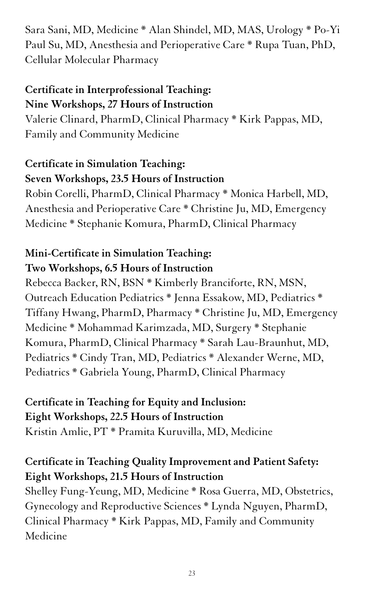Sara Sani, MD, Medicine \* Alan Shindel, MD, MAS, Urology \* Po-Yi Paul Su, MD, Anesthesia and Perioperative Care \* Rupa Tuan, PhD, Cellular Molecular Pharmacy

### **Certificate in Interprofessional Teaching: Nine Workshops, 27 Hours of Instruction**

Valerie Clinard, PharmD, Clinical Pharmacy \* Kirk Pappas, MD, Family and Community Medicine

### **Certificate in Simulation Teaching: Seven Workshops, 23.5 Hours of Instruction**

Robin Corelli, PharmD, Clinical Pharmacy \* Monica Harbell, MD, Anesthesia and Perioperative Care \* Christine Ju, MD, Emergency Medicine \* Stephanie Komura, PharmD, Clinical Pharmacy

### **Mini-Certificate in Simulation Teaching: Two Workshops, 6.5 Hours of Instruction**

Rebecca Backer, RN, BSN \* Kimberly Branciforte, RN, MSN, Outreach Education Pediatrics \* Jenna Essakow, MD, Pediatrics \* Tiffany Hwang, PharmD, Pharmacy \* Christine Ju, MD, Emergency Medicine \* Mohammad Karimzada, MD, Surgery \* Stephanie Komura, PharmD, Clinical Pharmacy \* Sarah Lau-Braunhut, MD, Pediatrics \* Cindy Tran, MD, Pediatrics \* Alexander Werne, MD, Pediatrics \* Gabriela Young, PharmD, Clinical Pharmacy

### **Certificate in Teaching for Equity and Inclusion: Eight Workshops, 22.5 Hours of Instruction** Kristin Amlie, PT \* Pramita Kuruvilla, MD, Medicine

### **Certificate in Teaching Quality Improvement and Patient Safety: Eight Workshops, 21.5 Hours of Instruction**

Shelley Fung-Yeung, MD, Medicine \* Rosa Guerra, MD, Obstetrics, Gynecology and Reproductive Sciences \* Lynda Nguyen, PharmD, Clinical Pharmacy \* Kirk Pappas, MD, Family and Community Medicine